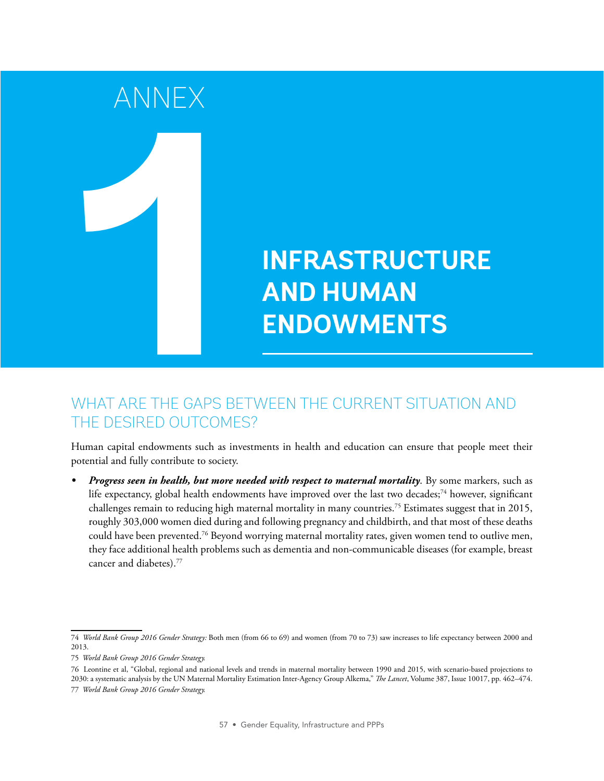

## WHAT ARE THE GAPS BETWEEN THE CURRENT SITUATION AND THE DESIRED OUTCOMES?

Human capital endowments such as investments in health and education can ensure that people meet their potential and fully contribute to society.

*• Progress seen in health, but more needed with respect to maternal mortality*. By some markers, such as life expectancy, global health endowments have improved over the last two decades;<sup>74</sup> however, significant challenges remain to reducing high maternal mortality in many countries.75 Estimates suggest that in 2015, roughly 303,000 women died during and following pregnancy and childbirth, and that most of these deaths could have been prevented.<sup>76</sup> Beyond worrying maternal mortality rates, given women tend to outlive men, they face additional health problems such as dementia and non-communicable diseases (for example, breast cancer and diabetes).<sup>77</sup>

<sup>74</sup> *World Bank Group 2016 Gender Strategy:* Both men (from 66 to 69) and women (from 70 to 73) saw increases to life expectancy between 2000 and 2013.

<sup>75</sup> *World Bank Group 2016 Gender Strategy.*

<sup>76</sup> Leontine et al, "Global, regional and national levels and trends in maternal mortality between 1990 and 2015, with scenario-based projections to 2030: a systematic analysis by the UN Maternal Mortality Estimation Inter-Agency Group Alkema," *The Lancet*, Volume 387, Issue 10017, pp. 462–474. 77 *World Bank Group 2016 Gender Strategy.*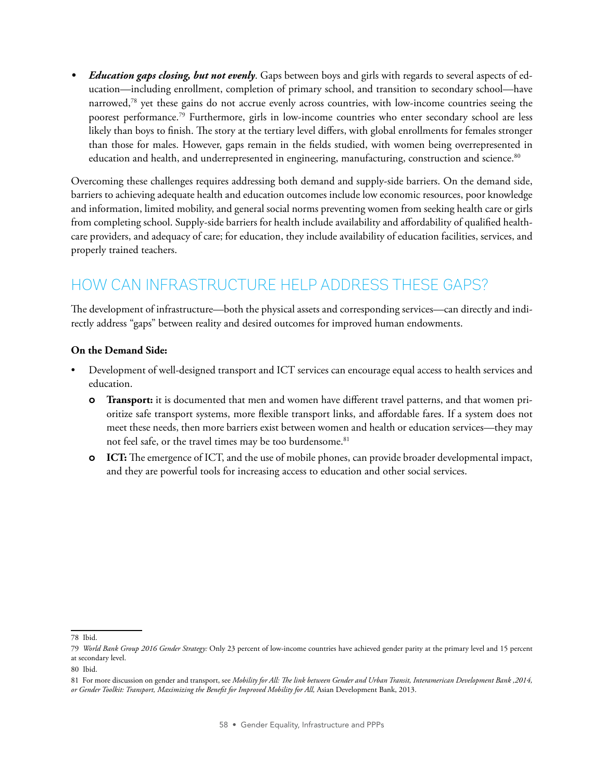*• Education gaps closing, but not evenly*. Gaps between boys and girls with regards to several aspects of education—including enrollment, completion of primary school, and transition to secondary school—have narrowed,<sup>78</sup> yet these gains do not accrue evenly across countries, with low-income countries seeing the poorest performance.79 Furthermore, girls in low-income countries who enter secondary school are less likely than boys to finish. The story at the tertiary level differs, with global enrollments for females stronger than those for males. However, gaps remain in the fields studied, with women being overrepresented in education and health, and underrepresented in engineering, manufacturing, construction and science.<sup>80</sup>

Overcoming these challenges requires addressing both demand and supply-side barriers. On the demand side, barriers to achieving adequate health and education outcomes include low economic resources, poor knowledge and information, limited mobility, and general social norms preventing women from seeking health care or girls from completing school. Supply-side barriers for health include availability and affordability of qualified healthcare providers, and adequacy of care; for education, they include availability of education facilities, services, and properly trained teachers.

## HOW CAN INFRASTRUCTURE HELP ADDRESS THESE GAPS?

The development of infrastructure—both the physical assets and corresponding services—can directly and indirectly address "gaps" between reality and desired outcomes for improved human endowments.

#### **On the Demand Side:**

- Development of well-designed transport and ICT services can encourage equal access to health services and education.
	- o **Transport:** it is documented that men and women have different travel patterns, and that women prioritize safe transport systems, more flexible transport links, and affordable fares. If a system does not meet these needs, then more barriers exist between women and health or education services—they may not feel safe, or the travel times may be too burdensome.<sup>81</sup>
	- **ICT:** The emergence of ICT, and the use of mobile phones, can provide broader developmental impact, and they are powerful tools for increasing access to education and other social services.

<sup>78</sup> Ibid.

<sup>79</sup> *World Bank Group 2016 Gender Strategy:* Only 23 percent of low-income countries have achieved gender parity at the primary level and 15 percent at secondary level.

<sup>80</sup> Ibid.

<sup>81</sup> For more discussion on gender and transport, see *Mobility for All: The link between Gender and Urban Transit, Interamerican Development Bank ,2014,*  or Gender Toolkit: Transport, Maximizing the Benefit for Improved Mobility for All, Asian Development Bank, 2013.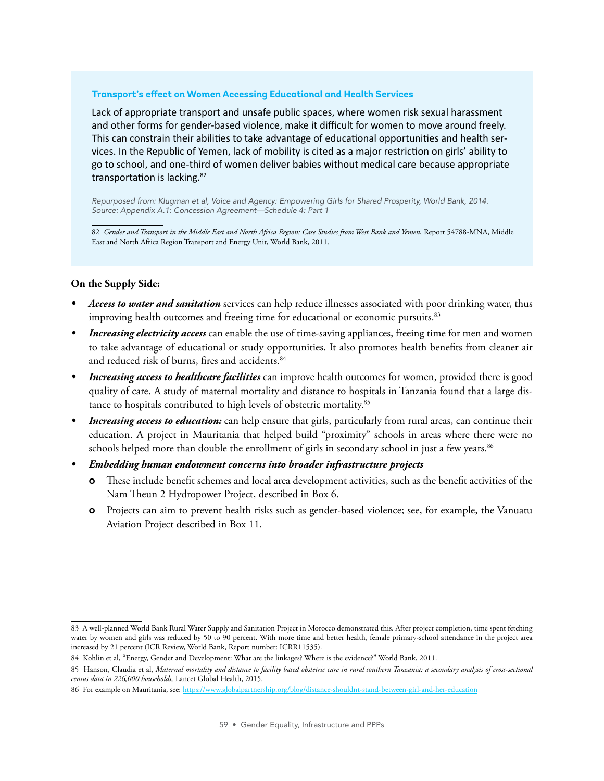#### **Transport's effect on Women Accessing Educational and Health Services**

Lack of appropriate transport and unsafe public spaces, where women risk sexual harassment and other forms for gender-based violence, make it difficult for women to move around freely. This can constrain their abilities to take advantage of educational opportunities and health services. In the Republic of Yemen, lack of mobility is cited as a major restriction on girls' ability to go to school, and one-third of women deliver babies without medical care because appropriate transportation is lacking.<sup>82</sup>

*Repurposed from: Klugman et al, Voice and Agency: Empowering Girls for Shared Prosperity, World Bank, 2014. Source: Appendix A.1: Concession Agreement—Schedule 4: Part 1*

82 *Gender and Transport in the Middle East and North Africa Region: Case Studies from West Bank and Yemen*, Report 54788-MNA, Middle East and North Africa Region Transport and Energy Unit, World Bank, 2011.

#### **On the Supply Side:**

- *• Access to water and sanitation* services can help reduce illnesses associated with poor drinking water, thus improving health outcomes and freeing time for educational or economic pursuits.<sup>83</sup>
- *Increasing electricity access* can enable the use of time-saving appliances, freeing time for men and women to take advantage of educational or study opportunities. It also promotes health benefits from cleaner air and reduced risk of burns, fires and accidents.<sup>84</sup>
- *Increasing access to healthcare facilities can improve health outcomes for women, provided there is good* quality of care. A study of maternal mortality and distance to hospitals in Tanzania found that a large distance to hospitals contributed to high levels of obstetric mortality.85
- *• Increasing access to education:* can help ensure that girls, particularly from rural areas, can continue their education. A project in Mauritania that helped build "proximity" schools in areas where there were no schools helped more than double the enrollment of girls in secondary school in just a few years.<sup>86</sup>
- *• Embedding human endowment concerns into broader infrastructure projects*
	- o These include benefit schemes and local area development activities, such as the benefit activities of the Nam Theun 2 Hydropower Project, described in Box 6.
	- o Projects can aim to prevent health risks such as gender-based violence; see, for example, the Vanuatu Aviation Project described in Box 11.

<sup>83</sup> A well-planned World Bank Rural Water Supply and Sanitation Project in Morocco demonstrated this. After project completion, time spent fetching water by women and girls was reduced by 50 to 90 percent. With more time and better health, female primary-school attendance in the project area increased by 21 percent (ICR Review, World Bank, Report number: ICRR11535).

<sup>84</sup> Kohlin et al, "Energy, Gender and Development: What are the linkages? Where is the evidence?" World Bank, 2011.

<sup>85</sup> Hanson, Claudia et al, *Maternal mortality and distance to facility based obstetric care in rural southern Tanzania: a secondary analysis of cross-sectional census data in 226,000 households,* Lancet Global Health, 2015.

<sup>86</sup> For example on Mauritania, see:<https://www.globalpartnership.org/blog/distance-shouldnt-stand-between-girl-and-her-education>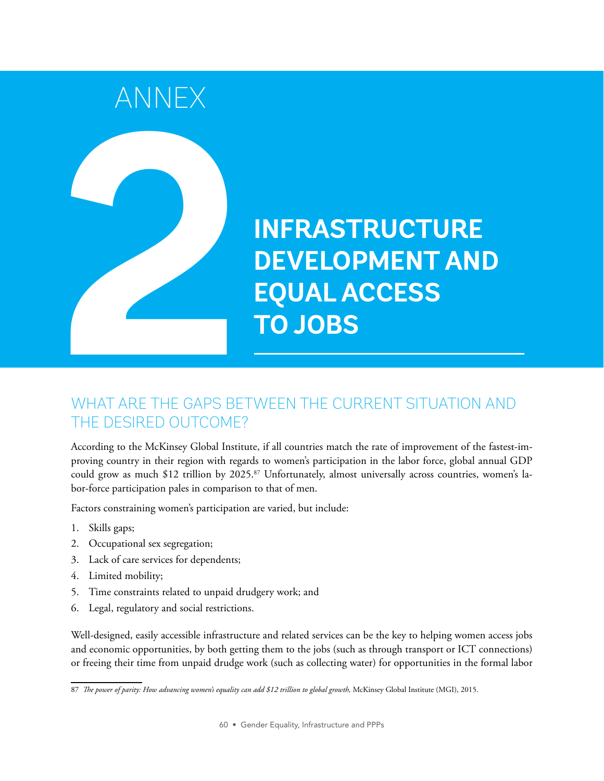

## WHAT ARE THE GAPS BETWEEN THE CURRENT SITUATION AND THE DESIRED OUTCOME?

According to the McKinsey Global Institute, if all countries match the rate of improvement of the fastest-improving country in their region with regards to women's participation in the labor force, global annual GDP could grow as much \$12 trillion by 2025.87 Unfortunately, almost universally across countries, women's labor-force participation pales in comparison to that of men.

Factors constraining women's participation are varied, but include:

- 1. Skills gaps;
- 2. Occupational sex segregation;
- 3. Lack of care services for dependents;
- 4. Limited mobility;
- 5. Time constraints related to unpaid drudgery work; and
- 6. Legal, regulatory and social restrictions.

Well-designed, easily accessible infrastructure and related services can be the key to helping women access jobs and economic opportunities, by both getting them to the jobs (such as through transport or ICT connections) or freeing their time from unpaid drudge work (such as collecting water) for opportunities in the formal labor

<sup>87</sup> *The power of parity: How advancing women's equality can add \$12 trillion to global growth,* McKinsey Global Institute (MGI), 2015.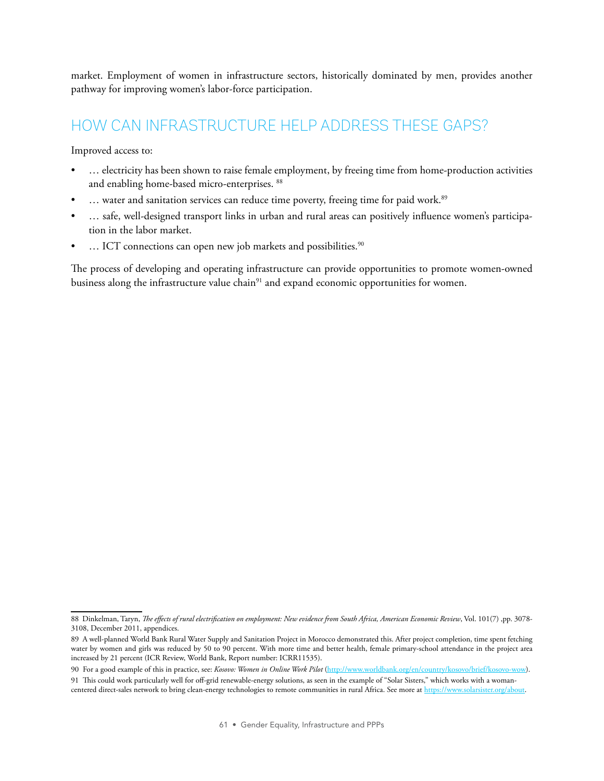market. Employment of women in infrastructure sectors, historically dominated by men, provides another pathway for improving women's labor-force participation.

## HOW CAN INFRASTRUCTURE HELP ADDRESS THESE GAPS?

Improved access to:

- … electricity has been shown to raise female employment, by freeing time from home-production activities and enabling home-based micro-enterprises. 88
- ... water and sanitation services can reduce time poverty, freeing time for paid work.<sup>89</sup>
- … safe, well-designed transport links in urban and rural areas can positively influence women's participation in the labor market.
- ... ICT connections can open new job markets and possibilities.<sup>90</sup>

The process of developing and operating infrastructure can provide opportunities to promote women-owned business along the infrastructure value chain<sup>91</sup> and expand economic opportunities for women.

<sup>88</sup> Dinkelman, Taryn, *The effects of rural electrification on employment: New evidence from South Africa, American Economic Review*, Vol. 101(7) ,pp. 3078- 3108, December 2011, appendices.

<sup>89</sup> A well-planned World Bank Rural Water Supply and Sanitation Project in Morocco demonstrated this. After project completion, time spent fetching water by women and girls was reduced by 50 to 90 percent. With more time and better health, female primary-school attendance in the project area increased by 21 percent (ICR Review, World Bank, Report number: ICRR11535).

<sup>90</sup> For a good example of this in practice, see: *Kosovo: Women in Online Work Pilot* (<http://www.worldbank.org/en/country/kosovo/brief/kosovo-wow>).

<sup>91</sup> This could work particularly well for off-grid renewable-energy solutions, as seen in the example of "Solar Sisters," which works with a womancentered direct-sales network to bring clean-energy technologies to remote communities in rural Africa. See more at<https://www.solarsister.org/about>.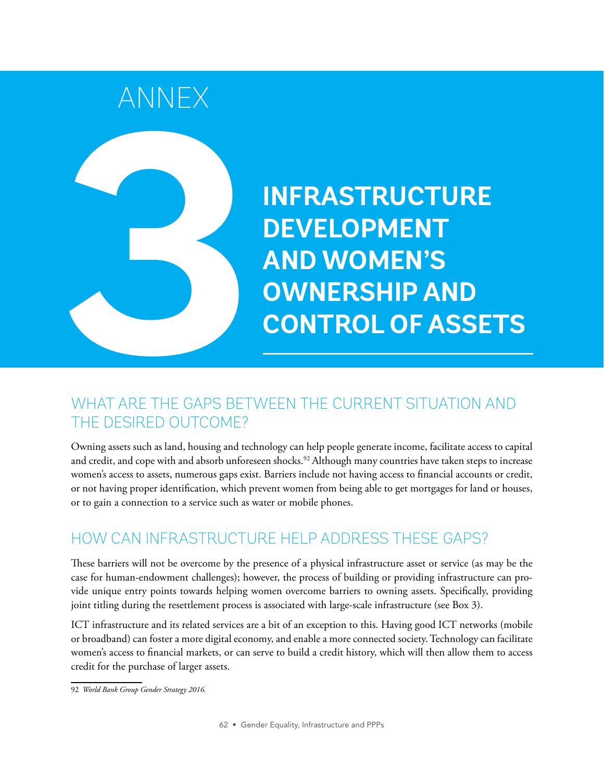

**DEVELOPMENT AND WOMEN'S OWNERSHIP AND CONTROL OF ASSETS**

## WHAT ARE THE GAPS BETWEEN THE CURRENT SITUATION AND THE DESIRED OUTCOME?

Owning assets such as land, housing and technology can help people generate income, facilitate access to capital and credit, and cope with and absorb unforeseen shocks.<sup>92</sup> Although many countries have taken steps to increase women's access to assets, numerous gaps exist. Barriers include not having access to financial accounts or credit, or not having proper identification, which prevent women from being able to get mortgages for land or houses, or to gain a connection to a service such as water or mobile phones.

## HOW CAN INFRASTRUCTURE HELP ADDRESS THESE GAPS?

These barriers will not be overcome by the presence of a physical infrastructure asset or service (as may be the case for human-endowment challenges); however, the process of building or providing infrastructure can provide unique entry points towards helping women overcome barriers to owning assets. Specifically, providing joint titling during the resettlement process is associated with large-scale infrastructure (see Box 3).

ICT infrastructure and its related services are a bit of an exception to this. Having good ICT networks (mobile or broadband) can foster a more digital economy, and enable a more connected society. Technology can facilitate women's access to financial markets, or can serve to build a credit history, which will then allow them to access credit for the purchase of larger assets.

<sup>92</sup> *World Bank Group Gender Strategy 2016.*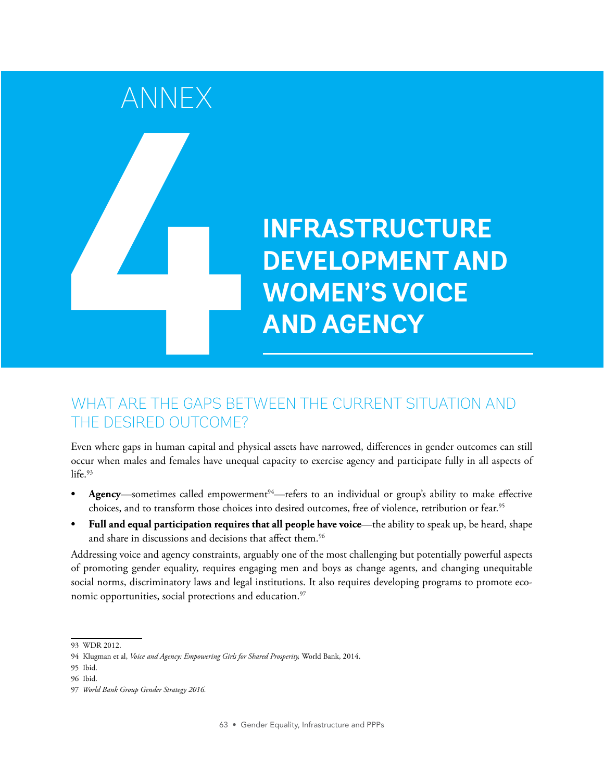

## WHAT ARE THE GAPS BETWEEN THE CURRENT SITUATION AND THE DESIRED OUTCOME?

Even where gaps in human capital and physical assets have narrowed, differences in gender outcomes can still occur when males and females have unequal capacity to exercise agency and participate fully in all aspects of life.<sup>93</sup>

- **Agency**—sometimes called empowerment<sup>94</sup>—refers to an individual or group's ability to make effective choices, and to transform those choices into desired outcomes, free of violence, retribution or fear.<sup>95</sup>
- **• Full and equal participation requires that all people have voice**—the ability to speak up, be heard, shape and share in discussions and decisions that affect them.<sup>96</sup>

Addressing voice and agency constraints, arguably one of the most challenging but potentially powerful aspects of promoting gender equality, requires engaging men and boys as change agents, and changing unequitable social norms, discriminatory laws and legal institutions. It also requires developing programs to promote economic opportunities, social protections and education.<sup>97</sup>

<sup>93</sup> WDR 2012.

<sup>94</sup> Klugman et al, *Voice and Agency: Empowering Girls for Shared Prosperity,* World Bank, 2014.

<sup>95</sup> Ibid.

<sup>96</sup> Ibid.

<sup>97</sup> *World Bank Group Gender Strategy 2016.*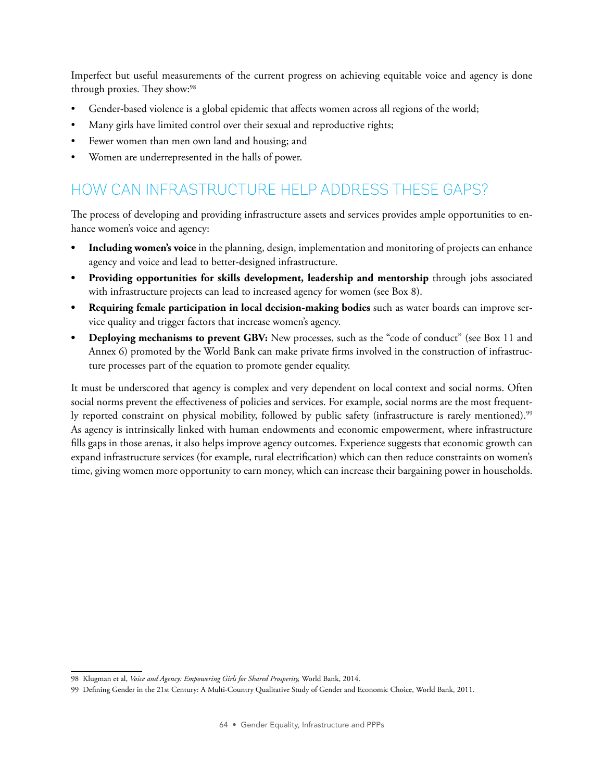Imperfect but useful measurements of the current progress on achieving equitable voice and agency is done through proxies. They show:<sup>98</sup>

- Gender-based violence is a global epidemic that affects women across all regions of the world;
- Many girls have limited control over their sexual and reproductive rights;
- Fewer women than men own land and housing; and
- Women are underrepresented in the halls of power.

## HOW CAN INFRASTRUCTURE HELP ADDRESS THESE GAPS?

The process of developing and providing infrastructure assets and services provides ample opportunities to enhance women's voice and agency:

- **• Including women's voice** in the planning, design, implementation and monitoring of projects can enhance agency and voice and lead to better-designed infrastructure.
- **• Providing opportunities for skills development, leadership and mentorship** through jobs associated with infrastructure projects can lead to increased agency for women (see Box 8).
- **• Requiring female participation in local decision-making bodies** such as water boards can improve service quality and trigger factors that increase women's agency.
- **Deploying mechanisms to prevent GBV:** New processes, such as the "code of conduct" (see Box 11 and Annex 6) promoted by the World Bank can make private firms involved in the construction of infrastructure processes part of the equation to promote gender equality.

It must be underscored that agency is complex and very dependent on local context and social norms. Often social norms prevent the effectiveness of policies and services. For example, social norms are the most frequently reported constraint on physical mobility, followed by public safety (infrastructure is rarely mentioned).<sup>99</sup> As agency is intrinsically linked with human endowments and economic empowerment, where infrastructure fills gaps in those arenas, it also helps improve agency outcomes. Experience suggests that economic growth can expand infrastructure services (for example, rural electrification) which can then reduce constraints on women's time, giving women more opportunity to earn money, which can increase their bargaining power in households.

<sup>98</sup> Klugman et al, *Voice and Agency: Empowering Girls for Shared Prosperity,* World Bank, 2014.

<sup>99</sup> [Defining Gender in the 21st Century: A Multi-Country Qualitative Study of Gender and Economic Choice,](http://econ.worldbank.org/WBSITE/EXTERNAL/EXTDEC/EXTRESEARCH/EXTWDRS/EXTWDR2012/0,,contentMDK:22850827~menuPK:7779406~pagePK:64167689~piPK:64167673~theSitePK:7778063,00.html#Scope) World Bank, 2011.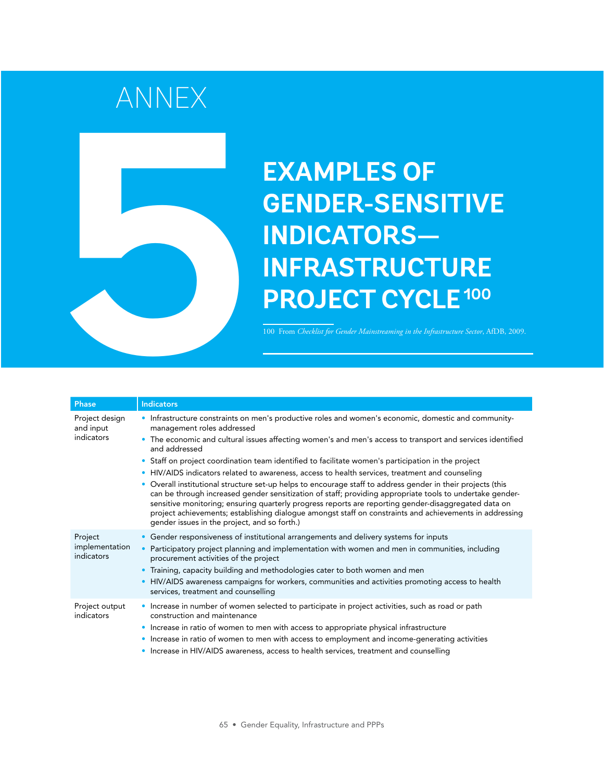## ANNEX



# **GENDER-SENSITIVE INDICATORS— INFRASTRUCTURE PROJECT CYCLE<sup>100</sup>**

100 From *Checklist for Gender Mainstreaming in the Infrastructure Sector*, AfDB, 2009.

| <b>Phase</b>                              | <b>Indicators</b>                                                                                                                                                                                                                                                                                                                                                                                                                                                                                     |
|-------------------------------------------|-------------------------------------------------------------------------------------------------------------------------------------------------------------------------------------------------------------------------------------------------------------------------------------------------------------------------------------------------------------------------------------------------------------------------------------------------------------------------------------------------------|
| Project design<br>and input<br>indicators | • Infrastructure constraints on men's productive roles and women's economic, domestic and community-<br>management roles addressed                                                                                                                                                                                                                                                                                                                                                                    |
|                                           | • The economic and cultural issues affecting women's and men's access to transport and services identified<br>and addressed                                                                                                                                                                                                                                                                                                                                                                           |
|                                           | • Staff on project coordination team identified to facilitate women's participation in the project                                                                                                                                                                                                                                                                                                                                                                                                    |
|                                           | HIV/AIDS indicators related to awareness, access to health services, treatment and counseling<br>$\bullet$                                                                                                                                                                                                                                                                                                                                                                                            |
|                                           | Overall institutional structure set-up helps to encourage staff to address gender in their projects (this<br>$\bullet$<br>can be through increased gender sensitization of staff; providing appropriate tools to undertake gender-<br>sensitive monitoring; ensuring quarterly progress reports are reporting gender-disaggregated data on<br>project achievements; establishing dialogue amongst staff on constraints and achievements in addressing<br>gender issues in the project, and so forth.) |
| Project<br>implementation<br>indicators   | • Gender responsiveness of institutional arrangements and delivery systems for inputs<br>Participatory project planning and implementation with women and men in communities, including<br>procurement activities of the project<br>Training, capacity building and methodologies cater to both women and men<br>HIV/AIDS awareness campaigns for workers, communities and activities promoting access to health<br>$\bullet$<br>services, treatment and counselling                                  |
| Project output<br>indicators              | • Increase in number of women selected to participate in project activities, such as road or path<br>construction and maintenance<br>• Increase in ratio of women to men with access to appropriate physical infrastructure<br>• Increase in ratio of women to men with access to employment and income-generating activities<br>• Increase in HIV/AIDS awareness, access to health services, treatment and counselling                                                                               |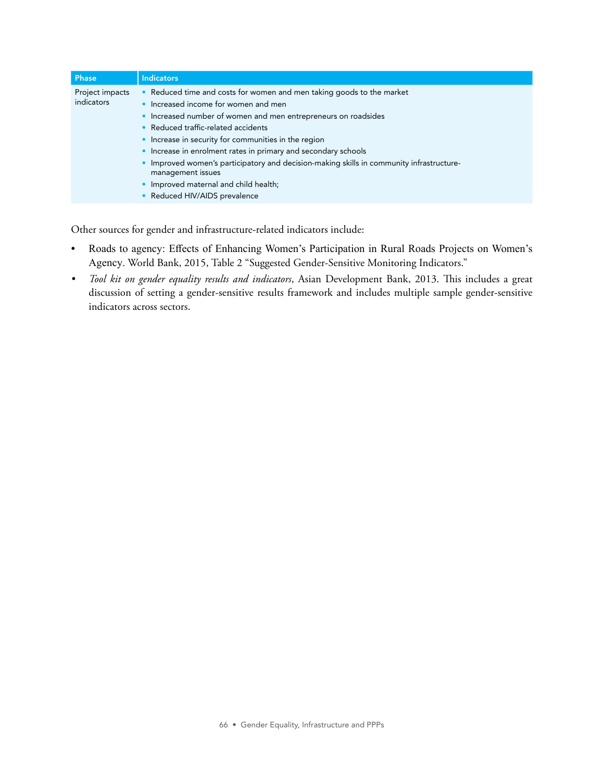| Phase                         | <b>Indicators</b>                                                                                                                                                                                                                                                              |
|-------------------------------|--------------------------------------------------------------------------------------------------------------------------------------------------------------------------------------------------------------------------------------------------------------------------------|
| Project impacts<br>indicators | • Reduced time and costs for women and men taking goods to the market<br>• Increased income for women and men<br>• Increased number of women and men entrepreneurs on roadsides<br>• Reduced traffic-related accidents<br>• Increase in security for communities in the region |
|                               | • Increase in enrolment rates in primary and secondary schools<br>• Improved women's participatory and decision-making skills in community infrastructure-<br>management issues                                                                                                |
|                               | • Improved maternal and child health;<br>• Reduced HIV/AIDS prevalence                                                                                                                                                                                                         |

Other sources for gender and infrastructure-related indicators include:

- Roads to agency: Effects of Enhancing Women's Participation in Rural Roads Projects on Women's Agency. World Bank, 2015, Table 2 "Suggested Gender-Sensitive Monitoring Indicators."
- *• Tool kit on gender equality results and indicators*, Asian Development Bank, 2013. This includes a great discussion of setting a gender-sensitive results framework and includes multiple sample gender-sensitive indicators across sectors.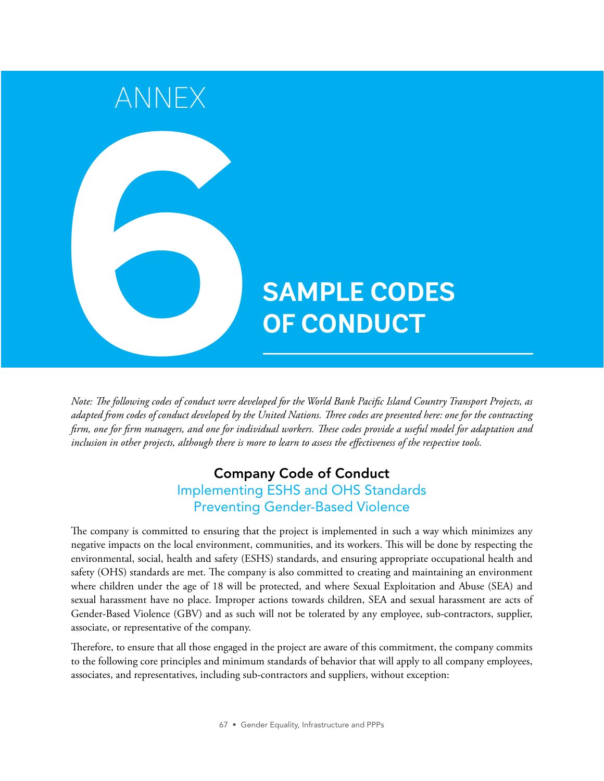

*Note: The following codes of conduct were developed for the World Bank Pacific Island Country Transport Projects, as adapted from codes of conduct developed by the United Nations. Three codes are presented here: one for the contracting firm, one for firm managers, and one for individual workers. These codes provide a useful model for adaptation and inclusion in other projects, although there is more to learn to assess the effectiveness of the respective tools.*

## Company Code of Conduct Implementing ESHS and OHS Standards Preventing Gender-Based Violence

The company is committed to ensuring that the project is implemented in such a way which minimizes any negative impacts on the local environment, communities, and its workers. This will be done by respecting the environmental, social, health and safety (ESHS) standards, and ensuring appropriate occupational health and safety (OHS) standards are met. The company is also committed to creating and maintaining an environment where children under the age of 18 will be protected, and where Sexual Exploitation and Abuse (SEA) and sexual harassment have no place. Improper actions towards children, SEA and sexual harassment are acts of Gender-Based Violence (GBV) and as such will not be tolerated by any employee, sub-contractors, supplier, associate, or representative of the company.

Therefore, to ensure that all those engaged in the project are aware of this commitment, the company commits to the following core principles and minimum standards of behavior that will apply to all company employees, associates, and representatives, including sub-contractors and suppliers, without exception: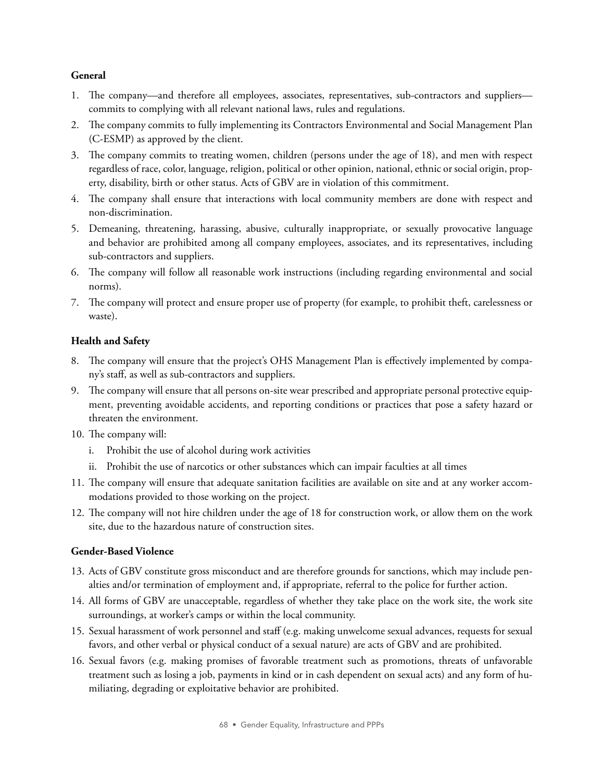#### **General**

- 1. The company—and therefore all employees, associates, representatives, sub-contractors and suppliers commits to complying with all relevant national laws, rules and regulations.
- 2. The company commits to fully implementing its Contractors Environmental and Social Management Plan (C-ESMP) as approved by the client.
- 3. The company commits to treating women, children (persons under the age of 18), and men with respect regardless of race, color, language, religion, political or other opinion, national, ethnic or social origin, property, disability, birth or other status. Acts of GBV are in violation of this commitment.
- 4. The company shall ensure that interactions with local community members are done with respect and non-discrimination.
- 5. Demeaning, threatening, harassing, abusive, culturally inappropriate, or sexually provocative language and behavior are prohibited among all company employees, associates, and its representatives, including sub-contractors and suppliers.
- 6. The company will follow all reasonable work instructions (including regarding environmental and social norms).
- 7. The company will protect and ensure proper use of property (for example, to prohibit theft, carelessness or waste).

#### **Health and Safety**

- 8. The company will ensure that the project's OHS Management Plan is effectively implemented by company's staff, as well as sub-contractors and suppliers.
- 9. The company will ensure that all persons on-site wear prescribed and appropriate personal protective equipment, preventing avoidable accidents, and reporting conditions or practices that pose a safety hazard or threaten the environment.
- 10. The company will:
	- i. Prohibit the use of alcohol during work activities
	- ii. Prohibit the use of narcotics or other substances which can impair faculties at all times
- 11. The company will ensure that adequate sanitation facilities are available on site and at any worker accommodations provided to those working on the project.
- 12. The company will not hire children under the age of 18 for construction work, or allow them on the work site, due to the hazardous nature of construction sites.

#### **Gender-Based Violence**

- 13. Acts of GBV constitute gross misconduct and are therefore grounds for sanctions, which may include penalties and/or termination of employment and, if appropriate, referral to the police for further action.
- 14. All forms of GBV are unacceptable, regardless of whether they take place on the work site, the work site surroundings, at worker's camps or within the local community.
- 15. Sexual harassment of work personnel and staff (e.g. making unwelcome sexual advances, requests for sexual favors, and other verbal or physical conduct of a sexual nature) are acts of GBV and are prohibited.
- 16. Sexual favors (e.g. making promises of favorable treatment such as promotions, threats of unfavorable treatment such as losing a job, payments in kind or in cash dependent on sexual acts) and any form of humiliating, degrading or exploitative behavior are prohibited.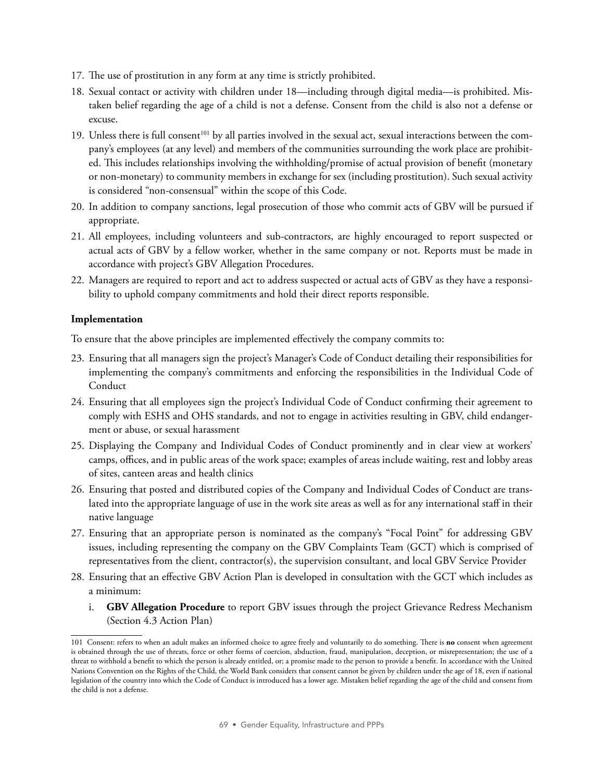- 17. The use of prostitution in any form at any time is strictly prohibited.
- 18. Sexual contact or activity with children under 18—including through digital media—is prohibited. Mistaken belief regarding the age of a child is not a defense. Consent from the child is also not a defense or excuse.
- 19. Unless there is full consent<sup>101</sup> by all parties involved in the sexual act, sexual interactions between the company's employees (at any level) and members of the communities surrounding the work place are prohibited. This includes relationships involving the withholding/promise of actual provision of benefit (monetary or non-monetary) to community members in exchange for sex (including prostitution). Such sexual activity is considered "non-consensual" within the scope of this Code.
- 20. In addition to company sanctions, legal prosecution of those who commit acts of GBV will be pursued if appropriate.
- 21. All employees, including volunteers and sub-contractors, are highly encouraged to report suspected or actual acts of GBV by a fellow worker, whether in the same company or not. Reports must be made in accordance with project's GBV Allegation Procedures.
- 22. Managers are required to report and act to address suspected or actual acts of GBV as they have a responsibility to uphold company commitments and hold their direct reports responsible.

#### **Implementation**

To ensure that the above principles are implemented effectively the company commits to:

- 23. Ensuring that all managers sign the project's Manager's Code of Conduct detailing their responsibilities for implementing the company's commitments and enforcing the responsibilities in the Individual Code of Conduct
- 24. Ensuring that all employees sign the project's Individual Code of Conduct confirming their agreement to comply with ESHS and OHS standards, and not to engage in activities resulting in GBV, child endangerment or abuse, or sexual harassment
- 25. Displaying the Company and Individual Codes of Conduct prominently and in clear view at workers' camps, offices, and in public areas of the work space; examples of areas include waiting, rest and lobby areas of sites, canteen areas and health clinics
- 26. Ensuring that posted and distributed copies of the Company and Individual Codes of Conduct are translated into the appropriate language of use in the work site areas as well as for any international staff in their native language
- 27. Ensuring that an appropriate person is nominated as the company's "Focal Point" for addressing GBV issues, including representing the company on the GBV Complaints Team (GCT) which is comprised of representatives from the client, contractor(s), the supervision consultant, and local GBV Service Provider
- 28. Ensuring that an effective GBV Action Plan is developed in consultation with the GCT which includes as a minimum:
	- i. **GBV Allegation Procedure** to report GBV issues through the project Grievance Redress Mechanism (Section 4.3 Action Plan)

<sup>101</sup> Consent: refers to when an adult makes an informed choice to agree freely and voluntarily to do something. There is **no** consent when agreement is obtained through the use of threats, force or other forms of coercion, abduction, fraud, manipulation, deception, or misrepresentation; the use of a threat to withhold a benefit to which the person is already entitled, or; a promise made to the person to provide a benefit. In accordance with the United Nations Convention on the Rights of the Child, the World Bank considers that consent cannot be given by children under the age of 18, even if national legislation of the country into which the Code of Conduct is introduced has a lower age. Mistaken belief regarding the age of the child and consent from the child is not a defense.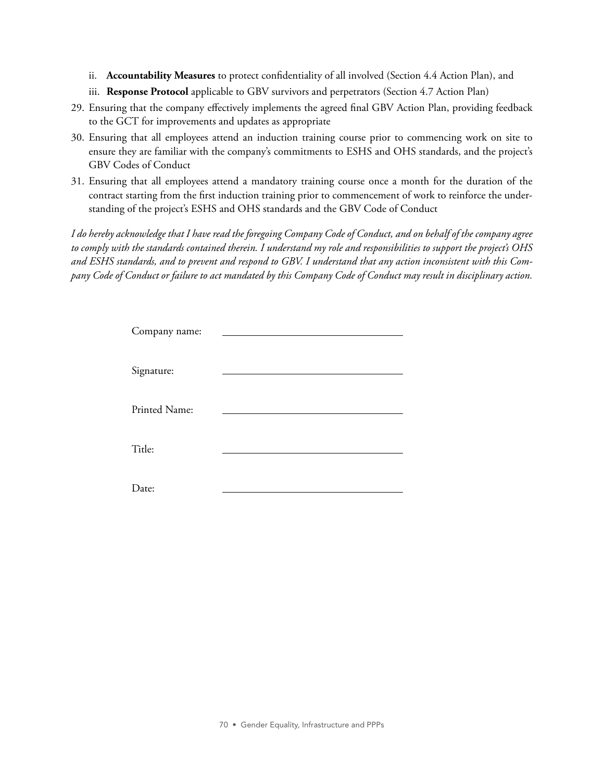- ii. **Accountability Measures** to protect confidentiality of all involved (Section 4.4 Action Plan), and
- iii. **Response Protocol** applicable to GBV survivors and perpetrators (Section 4.7 Action Plan)
- 29. Ensuring that the company effectively implements the agreed final GBV Action Plan, providing feedback to the GCT for improvements and updates as appropriate
- 30. Ensuring that all employees attend an induction training course prior to commencing work on site to ensure they are familiar with the company's commitments to ESHS and OHS standards, and the project's GBV Codes of Conduct
- 31. Ensuring that all employees attend a mandatory training course once a month for the duration of the contract starting from the first induction training prior to commencement of work to reinforce the understanding of the project's ESHS and OHS standards and the GBV Code of Conduct

*I do hereby acknowledge that I have read the foregoing Company Code of Conduct, and on behalf of the company agree to comply with the standards contained therein. I understand my role and responsibilities to support the project's OHS and ESHS standards, and to prevent and respond to GBV. I understand that any action inconsistent with this Company Code of Conduct or failure to act mandated by this Company Code of Conduct may result in disciplinary action.*

| Company name: |  |
|---------------|--|
|               |  |
| Signature:    |  |
| Printed Name: |  |
|               |  |
| Title:        |  |
|               |  |
| Date:         |  |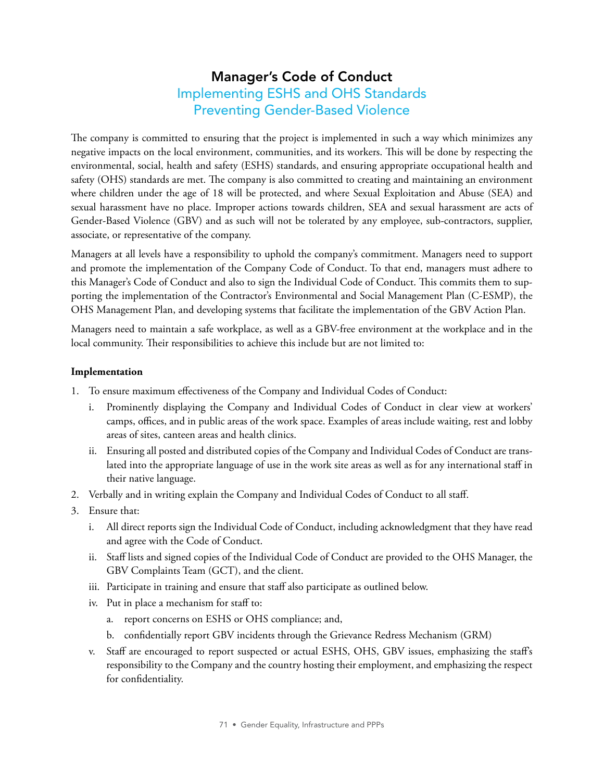## Manager's Code of Conduct Implementing ESHS and OHS Standards Preventing Gender-Based Violence

The company is committed to ensuring that the project is implemented in such a way which minimizes any negative impacts on the local environment, communities, and its workers. This will be done by respecting the environmental, social, health and safety (ESHS) standards, and ensuring appropriate occupational health and safety (OHS) standards are met. The company is also committed to creating and maintaining an environment where children under the age of 18 will be protected, and where Sexual Exploitation and Abuse (SEA) and sexual harassment have no place. Improper actions towards children, SEA and sexual harassment are acts of Gender-Based Violence (GBV) and as such will not be tolerated by any employee, sub-contractors, supplier, associate, or representative of the company.

Managers at all levels have a responsibility to uphold the company's commitment. Managers need to support and promote the implementation of the Company Code of Conduct. To that end, managers must adhere to this Manager's Code of Conduct and also to sign the Individual Code of Conduct. This commits them to supporting the implementation of the Contractor's Environmental and Social Management Plan (C-ESMP), the OHS Management Plan, and developing systems that facilitate the implementation of the GBV Action Plan.

Managers need to maintain a safe workplace, as well as a GBV-free environment at the workplace and in the local community. Their responsibilities to achieve this include but are not limited to:

#### **Implementation**

- 1. To ensure maximum effectiveness of the Company and Individual Codes of Conduct:
	- i. Prominently displaying the Company and Individual Codes of Conduct in clear view at workers' camps, offices, and in public areas of the work space. Examples of areas include waiting, rest and lobby areas of sites, canteen areas and health clinics.
	- ii. Ensuring all posted and distributed copies of the Company and Individual Codes of Conduct are translated into the appropriate language of use in the work site areas as well as for any international staff in their native language.
- 2. Verbally and in writing explain the Company and Individual Codes of Conduct to all staff.
- 3. Ensure that:
	- i. All direct reports sign the Individual Code of Conduct, including acknowledgment that they have read and agree with the Code of Conduct.
	- ii. Staff lists and signed copies of the Individual Code of Conduct are provided to the OHS Manager, the GBV Complaints Team (GCT), and the client.
	- iii. Participate in training and ensure that staff also participate as outlined below.
	- iv. Put in place a mechanism for staff to:
		- a. report concerns on ESHS or OHS compliance; and,
		- b. confidentially report GBV incidents through the Grievance Redress Mechanism (GRM)
	- v. Staff are encouraged to report suspected or actual ESHS, OHS, GBV issues, emphasizing the staff's responsibility to the Company and the country hosting their employment, and emphasizing the respect for confidentiality.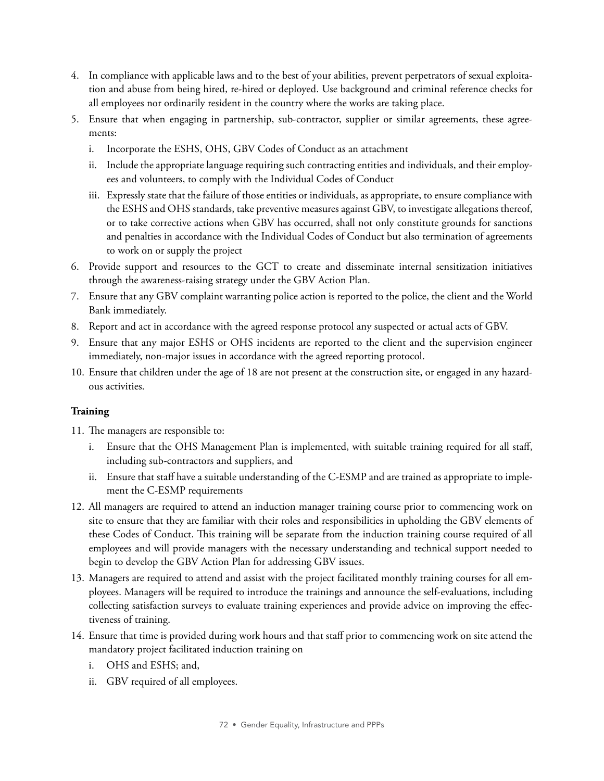- 4. In compliance with applicable laws and to the best of your abilities, prevent perpetrators of sexual exploitation and abuse from being hired, re-hired or deployed. Use background and criminal reference checks for all employees nor ordinarily resident in the country where the works are taking place.
- 5. Ensure that when engaging in partnership, sub-contractor, supplier or similar agreements, these agreements:
	- i. Incorporate the ESHS, OHS, GBV Codes of Conduct as an attachment
	- ii. Include the appropriate language requiring such contracting entities and individuals, and their employees and volunteers, to comply with the Individual Codes of Conduct
	- iii. Expressly state that the failure of those entities or individuals, as appropriate, to ensure compliance with the ESHS and OHS standards, take preventive measures against GBV, to investigate allegations thereof, or to take corrective actions when GBV has occurred, shall not only constitute grounds for sanctions and penalties in accordance with the Individual Codes of Conduct but also termination of agreements to work on or supply the project
- 6. Provide support and resources to the GCT to create and disseminate internal sensitization initiatives through the awareness-raising strategy under the GBV Action Plan.
- 7. Ensure that any GBV complaint warranting police action is reported to the police, the client and the World Bank immediately.
- 8. Report and act in accordance with the agreed response protocol any suspected or actual acts of GBV.
- 9. Ensure that any major ESHS or OHS incidents are reported to the client and the supervision engineer immediately, non-major issues in accordance with the agreed reporting protocol.
- 10. Ensure that children under the age of 18 are not present at the construction site, or engaged in any hazardous activities.

#### **Training**

11. The managers are responsible to:

- i. Ensure that the OHS Management Plan is implemented, with suitable training required for all staff, including sub-contractors and suppliers, and
- ii. Ensure that staff have a suitable understanding of the C-ESMP and are trained as appropriate to implement the C-ESMP requirements
- 12. All managers are required to attend an induction manager training course prior to commencing work on site to ensure that they are familiar with their roles and responsibilities in upholding the GBV elements of these Codes of Conduct. This training will be separate from the induction training course required of all employees and will provide managers with the necessary understanding and technical support needed to begin to develop the GBV Action Plan for addressing GBV issues.
- 13. Managers are required to attend and assist with the project facilitated monthly training courses for all employees. Managers will be required to introduce the trainings and announce the self-evaluations, including collecting satisfaction surveys to evaluate training experiences and provide advice on improving the effectiveness of training.
- 14. Ensure that time is provided during work hours and that staff prior to commencing work on site attend the mandatory project facilitated induction training on
	- i. OHS and ESHS; and,
	- ii. GBV required of all employees.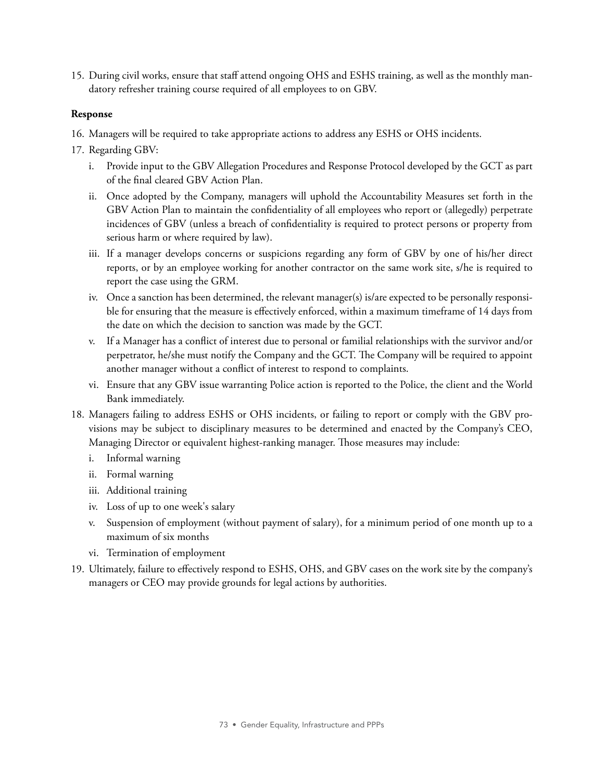15. During civil works, ensure that staff attend ongoing OHS and ESHS training, as well as the monthly mandatory refresher training course required of all employees to on GBV.

#### **Response**

- 16. Managers will be required to take appropriate actions to address any ESHS or OHS incidents.
- 17. Regarding GBV:
	- i. Provide input to the GBV Allegation Procedures and Response Protocol developed by the GCT as part of the final cleared GBV Action Plan.
	- ii. Once adopted by the Company, managers will uphold the Accountability Measures set forth in the GBV Action Plan to maintain the confidentiality of all employees who report or (allegedly) perpetrate incidences of GBV (unless a breach of confidentiality is required to protect persons or property from serious harm or where required by law).
	- iii. If a manager develops concerns or suspicions regarding any form of GBV by one of his/her direct reports, or by an employee working for another contractor on the same work site, s/he is required to report the case using the GRM.
	- iv. Once a sanction has been determined, the relevant manager(s) is/are expected to be personally responsible for ensuring that the measure is effectively enforced, within a maximum timeframe of 14 days from the date on which the decision to sanction was made by the GCT.
	- v. If a Manager has a conflict of interest due to personal or familial relationships with the survivor and/or perpetrator, he/she must notify the Company and the GCT. The Company will be required to appoint another manager without a conflict of interest to respond to complaints.
	- vi. Ensure that any GBV issue warranting Police action is reported to the Police, the client and the World Bank immediately.
- 18. Managers failing to address ESHS or OHS incidents, or failing to report or comply with the GBV provisions may be subject to disciplinary measures to be determined and enacted by the Company's CEO, Managing Director or equivalent highest-ranking manager. Those measures may include:
	- i. Informal warning
	- ii. Formal warning
	- iii. Additional training
	- iv. Loss of up to one week's salary
	- v. Suspension of employment (without payment of salary), for a minimum period of one month up to a maximum of six months
	- vi. Termination of employment
- 19. Ultimately, failure to effectively respond to ESHS, OHS, and GBV cases on the work site by the company's managers or CEO may provide grounds for legal actions by authorities.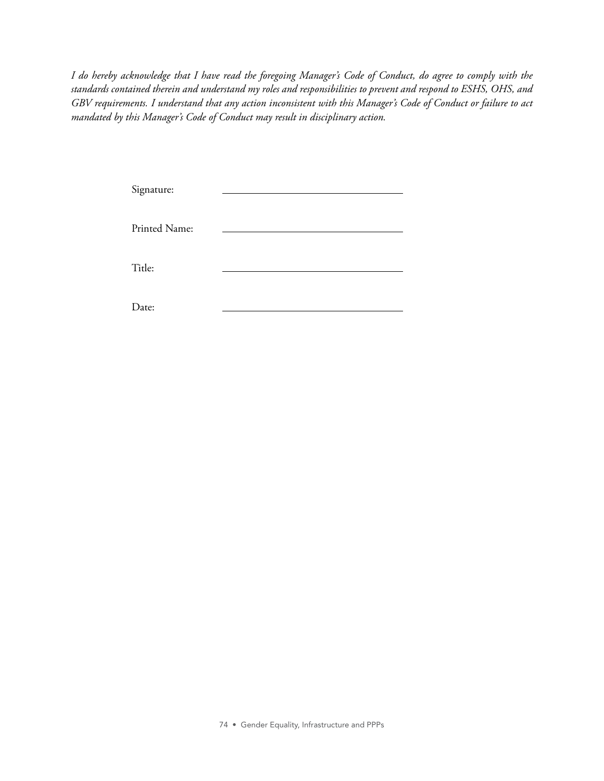*I do hereby acknowledge that I have read the foregoing Manager's Code of Conduct, do agree to comply with the standards contained therein and understand my roles and responsibilities to prevent and respond to ESHS, OHS, and GBV requirements. I understand that any action inconsistent with this Manager's Code of Conduct or failure to act mandated by this Manager's Code of Conduct may result in disciplinary action.*

| Signature:    |  |
|---------------|--|
|               |  |
| Printed Name: |  |
|               |  |
| Title:        |  |
|               |  |
| Date:         |  |
|               |  |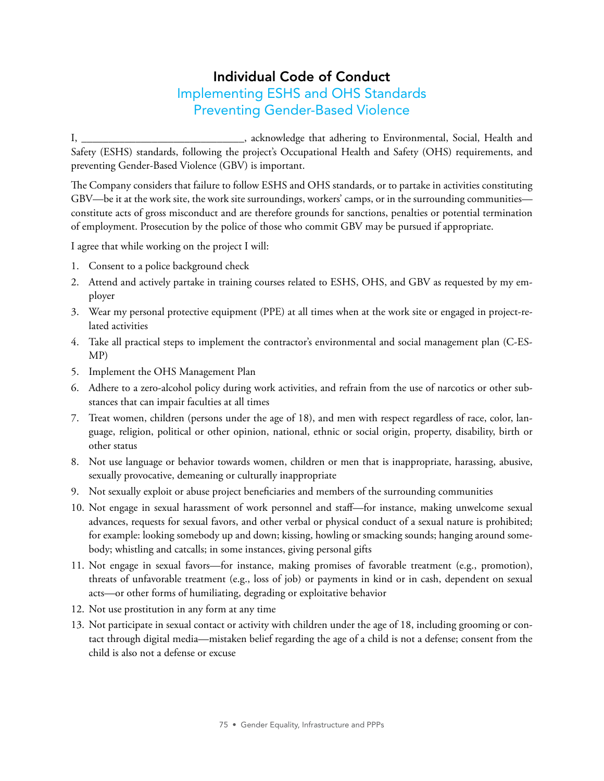## Individual Code of Conduct

## Implementing ESHS and OHS Standards Preventing Gender-Based Violence

I, \_\_\_\_\_\_\_\_\_\_\_\_\_\_\_\_\_\_\_\_\_\_\_\_\_\_\_\_\_\_, acknowledge that adhering to Environmental, Social, Health and Safety (ESHS) standards, following the project's Occupational Health and Safety (OHS) requirements, and preventing Gender-Based Violence (GBV) is important.

The Company considers that failure to follow ESHS and OHS standards, or to partake in activities constituting GBV—be it at the work site, the work site surroundings, workers' camps, or in the surrounding communities constitute acts of gross misconduct and are therefore grounds for sanctions, penalties or potential termination of employment. Prosecution by the police of those who commit GBV may be pursued if appropriate.

I agree that while working on the project I will:

- 1. Consent to a police background check
- 2. Attend and actively partake in training courses related to ESHS, OHS, and GBV as requested by my employer
- 3. Wear my personal protective equipment (PPE) at all times when at the work site or engaged in project-related activities
- 4. Take all practical steps to implement the contractor's environmental and social management plan (C-ES-MP)
- 5. Implement the OHS Management Plan
- 6. Adhere to a zero-alcohol policy during work activities, and refrain from the use of narcotics or other substances that can impair faculties at all times
- 7. Treat women, children (persons under the age of 18), and men with respect regardless of race, color, language, religion, political or other opinion, national, ethnic or social origin, property, disability, birth or other status
- 8. Not use language or behavior towards women, children or men that is inappropriate, harassing, abusive, sexually provocative, demeaning or culturally inappropriate
- 9. Not sexually exploit or abuse project beneficiaries and members of the surrounding communities
- 10. Not engage in sexual harassment of work personnel and staff—for instance, making unwelcome sexual advances, requests for sexual favors, and other verbal or physical conduct of a sexual nature is prohibited; for example: looking somebody up and down; kissing, howling or smacking sounds; hanging around somebody; whistling and catcalls; in some instances, giving personal gifts
- 11. Not engage in sexual favors—for instance, making promises of favorable treatment (e.g., promotion), threats of unfavorable treatment (e.g., loss of job) or payments in kind or in cash, dependent on sexual acts—or other forms of humiliating, degrading or exploitative behavior
- 12. Not use prostitution in any form at any time
- 13. Not participate in sexual contact or activity with children under the age of 18, including grooming or contact through digital media—mistaken belief regarding the age of a child is not a defense; consent from the child is also not a defense or excuse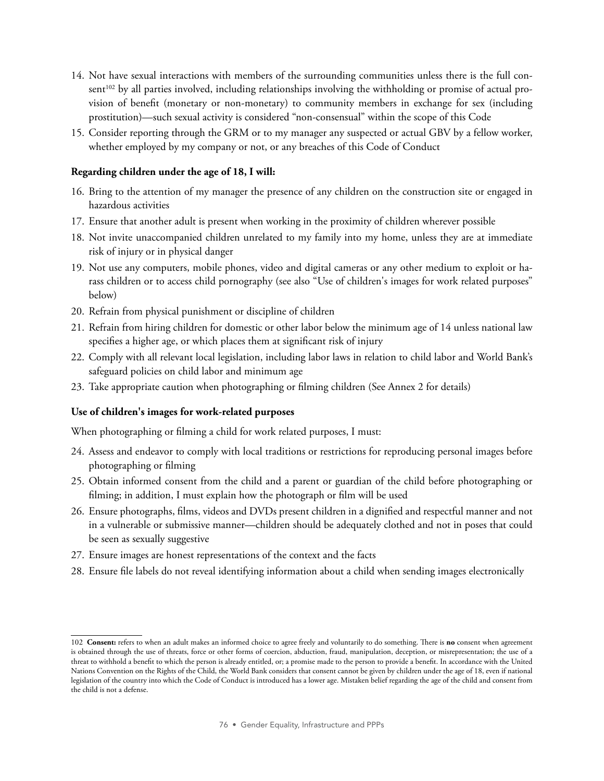- 14. Not have sexual interactions with members of the surrounding communities unless there is the full con- $\text{sent}^{102}$  by all parties involved, including relationships involving the withholding or promise of actual provision of benefit (monetary or non-monetary) to community members in exchange for sex (including prostitution)—such sexual activity is considered "non-consensual" within the scope of this Code
- 15. Consider reporting through the GRM or to my manager any suspected or actual GBV by a fellow worker, whether employed by my company or not, or any breaches of this Code of Conduct

#### **Regarding children under the age of 18, I will:**

- 16. Bring to the attention of my manager the presence of any children on the construction site or engaged in hazardous activities
- 17. Ensure that another adult is present when working in the proximity of children wherever possible
- 18. Not invite unaccompanied children unrelated to my family into my home, unless they are at immediate risk of injury or in physical danger
- 19. Not use any computers, mobile phones, video and digital cameras or any other medium to exploit or harass children or to access child pornography (see also "Use of children's images for work related purposes" below)
- 20. Refrain from physical punishment or discipline of children
- 21. Refrain from hiring children for domestic or other labor below the minimum age of 14 unless national law specifies a higher age, or which places them at significant risk of injury
- 22. Comply with all relevant local legislation, including labor laws in relation to child labor and World Bank's safeguard policies on child labor and minimum age
- 23. Take appropriate caution when photographing or filming children (See Annex 2 for details)

#### **Use of children's images for work-related purposes**

When photographing or filming a child for work related purposes, I must:

- 24. Assess and endeavor to comply with local traditions or restrictions for reproducing personal images before photographing or filming
- 25. Obtain informed consent from the child and a parent or guardian of the child before photographing or filming; in addition, I must explain how the photograph or film will be used
- 26. Ensure photographs, films, videos and DVDs present children in a dignified and respectful manner and not in a vulnerable or submissive manner—children should be adequately clothed and not in poses that could be seen as sexually suggestive
- 27. Ensure images are honest representations of the context and the facts
- 28. Ensure file labels do not reveal identifying information about a child when sending images electronically

<sup>102</sup> **Consent:** refers to when an adult makes an informed choice to agree freely and voluntarily to do something. There is **no** consent when agreement is obtained through the use of threats, force or other forms of coercion, abduction, fraud, manipulation, deception, or misrepresentation; the use of a threat to withhold a benefit to which the person is already entitled, or; a promise made to the person to provide a benefit. In accordance with the United Nations Convention on the Rights of the Child, the World Bank considers that consent cannot be given by children under the age of 18, even if national legislation of the country into which the Code of Conduct is introduced has a lower age. Mistaken belief regarding the age of the child and consent from the child is not a defense.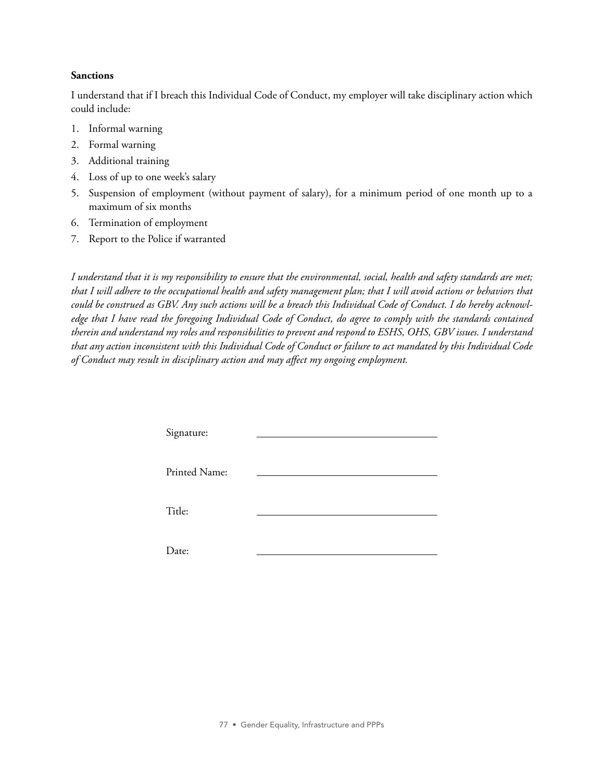#### **Sanctions**

I understand that if I breach this Individual Code of Conduct, my employer will take disciplinary action which could include:

- 1. Informal warning
- 2. Formal warning
- 3. Additional training
- 4. Loss of up to one week's salary
- 5. Suspension of employment (without payment of salary), for a minimum period of one month up to a maximum of six months
- 6. Termination of employment
- 7. Report to the Police if warranted

*I understand that it is my responsibility to ensure that the environmental, social, health and safety standards are met; that I will adhere to the occupational health and safety management plan; that I will avoid actions or behaviors that could be construed as GBV. Any such actions will be a breach this Individual Code of Conduct. I do hereby acknowl*edge that I have read the foregoing Individual Code of Conduct, do agree to comply with the standards contained *therein and understand my roles and responsibilities to prevent and respond to ESHS, OHS, GBV issues. I understand that any action inconsistent with this Individual Code of Conduct or failure to act mandated by this Individual Code of Conduct may result in disciplinary action and may affect my ongoing employment.* 

| Signature:    |  |
|---------------|--|
| Printed Name: |  |
| Title:        |  |
| Date:         |  |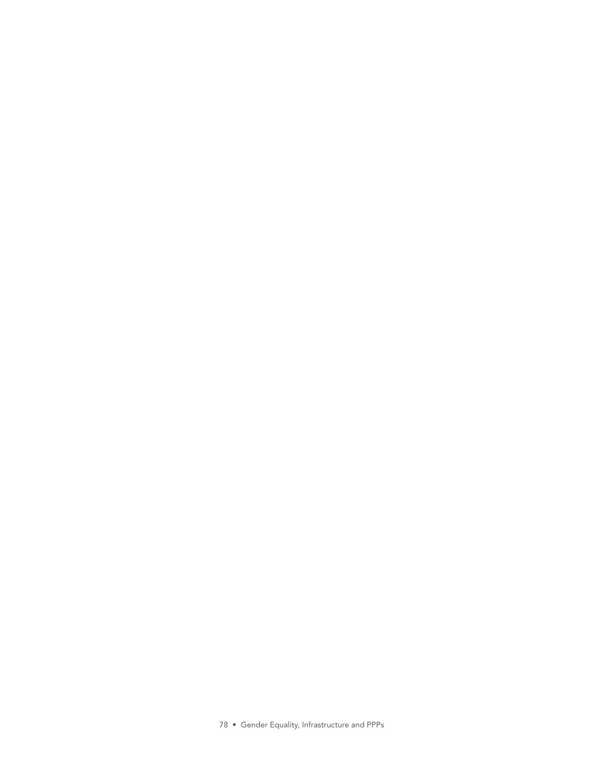78 • Gender Equality, Infrastructure and PPPs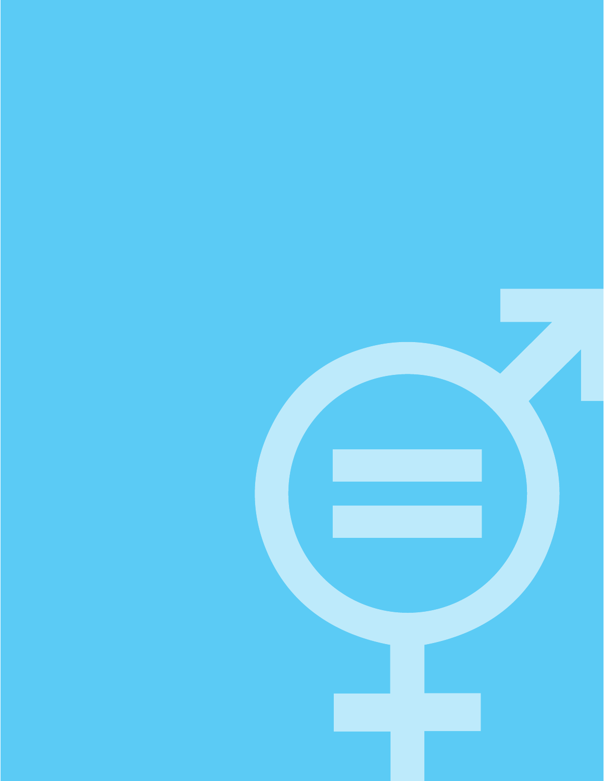